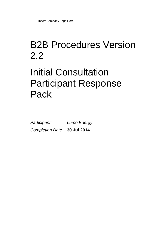## B2B Procedures Version 2.2

# Initial Consultation Participant Response Pack

*Participant: Lumo Energy Completion Date:* **30 Jul 2014**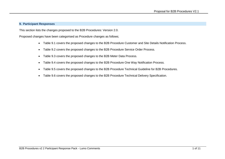#### **9. Participant Responses**

This section lists the changes proposed to the B2B Procedures: Version 2.0.

Proposed changes have been categorised as Procedure changes as follows;

- Table 9.1 covers the proposed changes to the B2B Procedure Customer and Site Details Notification Process.
- Table 9.2 covers the proposed changes to the B2B Procedure Service Order Process.
- Table 9.3 covers the proposed changes to the B2B Meter Data Process.
- Table 9.4 covers the proposed changes to the B2B Procedure One Way Notification Process.
- Table 9.5 covers the proposed changes to the B2B Procedure Technical Guideline for B2B Procedures.
- Table 9.6 covers the proposed changes to the B2B Procedure Technical Delivery Specification.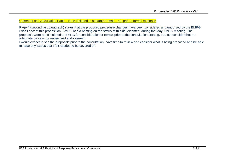Comment on Consultation Pack – to be included in separate e-mail – not part of formal response

Page 4 (second last paragraph) states that the proposed procedure changes have been considered and endorsed by the BMRG. I don't accept this proposition. BMRG had a briefing on the status of this development during the May BMRG meeting. The proposals were not circulated to BMRG for consideration or review prior to the consultation starting. I do not consider that an adequate process for review and endorsement.

I would expect to see the proposals prior to the consultation, have time to review and consider what is being proposed and be able to raise any issues that I felt needed to be covered off.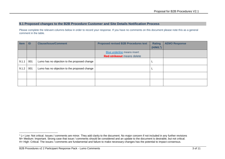#### **9.1 Proposed changes to the B2B Procedure Customer and Site Details Notification Process**

Please complete the relevant columns below in order to record your response. If you have no comments on this document please note this as a general comment in the table.

| <b>Item</b> | ID  | <b>Clause/Issue/Comment</b>                  | <b>Proposed revised B2B Procedures text</b> | <b>Rating</b> | <b>AEMO Response</b> |
|-------------|-----|----------------------------------------------|---------------------------------------------|---------------|----------------------|
|             |     |                                              |                                             | $(H/M/L^1)$   |                      |
|             |     |                                              | <b>Blue underline means insert</b>          |               |                      |
|             |     |                                              | <b>Red strikeout</b> means delete           |               |                      |
| 9.1.1       | 001 | Lumo has no objection to the proposed change |                                             |               |                      |
| 9.1.2       | 001 | Lumo has no objection to the proposed change |                                             |               |                      |
|             |     |                                              |                                             |               |                      |
|             |     |                                              |                                             |               |                      |

-

 $1$  L= Low: Not critical. Issues / comments are minor. They add clarity to the document. No major concern if not included in any further revisions M= Medium: Important. Strong case that issue / comments should be considered and an update to the document is desirable, but not critical. H= High: Critical. The issues / comments are fundamental and failure to make necessary changes has the potential to impact consensus.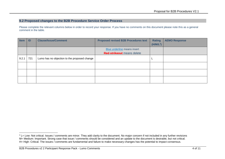## **9.2 Proposed changes to the B2B Procedure Service Order Process**

| <b>Item</b> | ID  | <b>Clause/Issue/Comment</b>                  | <b>Proposed revised B2B Procedures text</b> | <b>Rating</b>         | <b>AEMO Response</b> |
|-------------|-----|----------------------------------------------|---------------------------------------------|-----------------------|----------------------|
|             |     |                                              |                                             | (H/M/L <sup>2</sup> ) |                      |
|             |     |                                              | Blue underline means insert                 |                       |                      |
|             |     |                                              | <b>Red strikeout</b> means delete           |                       |                      |
| 9.2.1       | 721 | Lumo has no objection to the proposed change |                                             |                       |                      |
|             |     |                                              |                                             |                       |                      |
|             |     |                                              |                                             |                       |                      |
|             |     |                                              |                                             |                       |                      |

<sup>-</sup> $2$  L= Low: Not critical. Issues / comments are minor. They add clarity to the document. No major concern if not included in any further revisions M= Medium: Important. Strong case that issue / comments should be considered and an update to the document is desirable, but not critical. H= High: Critical. The issues / comments are fundamental and failure to make necessary changes has the potential to impact consensus.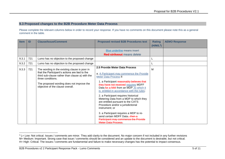#### **9.3 Proposed changes to the B2B Procedure Meter Data Process**

Please complete the relevant columns below in order to record your response. If you have no comments on this document please note this as a general comment in the table.

| <b>Item</b> | ID  | <b>Clause/Issue/Comment</b>                                                                                                                                                                                                                              | <b>Proposed revised B2B Procedures text</b>                                                                                                                                                                                                                                                                                                                                                                                                                                                                                                                                                                         | <b>Rating</b><br>$(H/M/L^3)$ | <b>AEMO Response</b> |
|-------------|-----|----------------------------------------------------------------------------------------------------------------------------------------------------------------------------------------------------------------------------------------------------------|---------------------------------------------------------------------------------------------------------------------------------------------------------------------------------------------------------------------------------------------------------------------------------------------------------------------------------------------------------------------------------------------------------------------------------------------------------------------------------------------------------------------------------------------------------------------------------------------------------------------|------------------------------|----------------------|
|             |     |                                                                                                                                                                                                                                                          | Blue underline means insert                                                                                                                                                                                                                                                                                                                                                                                                                                                                                                                                                                                         |                              |                      |
|             |     |                                                                                                                                                                                                                                                          | <b>Red strikeout</b> means delete                                                                                                                                                                                                                                                                                                                                                                                                                                                                                                                                                                                   |                              |                      |
| 9.3.1       | 721 | Lumo has no objection to the proposed change                                                                                                                                                                                                             |                                                                                                                                                                                                                                                                                                                                                                                                                                                                                                                                                                                                                     |                              |                      |
| 9.3.2       | 721 | Lumo has no objection to the proposed change                                                                                                                                                                                                             |                                                                                                                                                                                                                                                                                                                                                                                                                                                                                                                                                                                                                     |                              |                      |
| 9.3.3       | 721 | The wording in the existing clause is poor in<br>that the Participant's actions are tied to the<br>third sub-clause rather than clause a) with the<br>three conditions.<br>The proposed wording does not improve the<br>objective of the clause overall. | 2.5 Provide Meter Data Process<br>a. A Participant may commence the Provide<br>Meter Data Process if:<br>1. a Participant reasonably believes that<br>they have not received requires MDFF<br>Data for a NMI from an MDP, to which it<br>is entitled in accordance with the rules;<br>2. a Participant requires historical<br>Metering Data from a MDP to which they<br>are entitled pursuant to the CATS<br>Procedure and/or a jurisdictional<br>instrument; or<br>3. a Participant requires a MDP to re-<br>send certain MDFF Data., then a<br>Participant may commence the Provide<br><b>Meter Data Process.</b> | M                            |                      |

-

<sup>&</sup>lt;sup>3</sup> L= Low: Not critical. Issues / comments are minor. They add clarity to the document. No major concern if not included in any further revisions M= Medium: Important. Strong case that issue / comments should be considered and an update to the document is desirable, but not critical. H= High: Critical. The issues / comments are fundamental and failure to make necessary changes has the potential to impact consensus.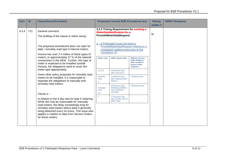| <b>Item</b> | ID                                                                                                                                                                                                                                                                                                                                                               | <b>Clause/Issue/Comment</b>                                                                                                                                            |                                                                                                                                     | <b>Proposed revised B2B Procedures text</b>                                                     |                | <b>Rating</b><br>$(H/M/L^3)$ | <b>AEMO Response</b> |
|-------------|------------------------------------------------------------------------------------------------------------------------------------------------------------------------------------------------------------------------------------------------------------------------------------------------------------------------------------------------------------------|------------------------------------------------------------------------------------------------------------------------------------------------------------------------|-------------------------------------------------------------------------------------------------------------------------------------|-------------------------------------------------------------------------------------------------|----------------|------------------------------|----------------------|
| 9.3.4       | 721                                                                                                                                                                                                                                                                                                                                                              | General comment<br>The drafting of the clause is rather wordy                                                                                                          | 3.2.3 Timing Requirement for sending a<br><b>MeterDataNotification for a</b><br>ProvideMeterDataRequest.                            |                                                                                                 |                | M                            |                      |
|             |                                                                                                                                                                                                                                                                                                                                                                  | The proposed amendment does not cater for<br>daily / remotely read type 5 interval meters.<br>Victoria has over 2.4 million of these types of                          | a A Participant must not issue a<br>ProvideMeterDataRequest relating to a<br>scheduled reading event prior to the<br>completion of: |                                                                                                 |                |                              |                      |
|             | meters, or approximately 37 % of the network<br>connections in the NEM. Further, this type of<br>meter is expected to be installed outside<br>Victoria, the obligations need to cover this                                                                                                                                                                       | <b>Meter Type</b>                                                                                                                                                      | <b>PMD request after</b>                                                                                                            | <b>PMD for Service</b><br><b>Order Request</b><br>after receipt of<br>service order<br>response |                |                              |                      |
|             |                                                                                                                                                                                                                                                                                                                                                                  | meter type appropriately.<br>Given other policy proposals for remotely read<br>meters to be installed, it is reasonable to<br>separate the obligations to manually and | 1, 2, 3, 4                                                                                                                          | 4 Business Days<br>after read event                                                             |                |                              |                      |
|             |                                                                                                                                                                                                                                                                                                                                                                  |                                                                                                                                                                        | remotely<br>read<br>5                                                                                                               | 2 business Days<br>after expected data<br>delivery                                              | 1 business Day |                              |                      |
|             | remotely read meters.<br>Clause a -<br>In relation to the 6 day wait for type 5 metering.<br>While this may be reasonable for manually<br>read meters, the delay exceedingly long for<br>remotely read meters where data is generally<br>being delivered every 24 hours. This issue also<br>applies in relation to data from Service Orders<br>for these meters. | manually<br>read<br>5,6                                                                                                                                                | <b>6 Business Days</b><br>following published<br>next scheduled<br>read date                                                        | 4 Business Days                                                                                 |                |                              |                      |
|             |                                                                                                                                                                                                                                                                                                                                                                  | $\overline{7}$                                                                                                                                                         | 7 <sup>th</sup> Business Day<br>after months end for<br><b>MDFF</b> data                                                            |                                                                                                 |                |                              |                      |
|             |                                                                                                                                                                                                                                                                                                                                                                  |                                                                                                                                                                        |                                                                                                                                     |                                                                                                 |                |                              |                      |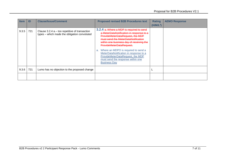| <b>Item</b> | ID  | <b>Clause/Issue/Comment</b>                                                                     | <b>Proposed revised B2B Procedures text</b>                                                                                                                                                                                                                                                                                                                                                                                 | <b>Rating</b><br>$(H/M/L^3)$ | <b>AEMO Response</b> |
|-------------|-----|-------------------------------------------------------------------------------------------------|-----------------------------------------------------------------------------------------------------------------------------------------------------------------------------------------------------------------------------------------------------------------------------------------------------------------------------------------------------------------------------------------------------------------------------|------------------------------|----------------------|
| 9.3.5       | 721 | Clause 3.2.4 a. – too repetitive of transaction<br>types - which made the obligation convoluted | 3.2.4 a. Where a MDP is required to send<br>a MeterDataNotification in response to a<br>ProvideMeterDataRequest, the MDP<br>must send the MeterDataNotification<br>within one business day of receiving the<br>ProvideMeterDataRequest.<br>a. Where an MDPO is required to send a<br>MeterDataNotification in response to a<br>ProvideMeterDataRequest, the MDP<br>must send the response within one<br><b>Business Day</b> |                              |                      |
| 9.3.6       | 721 | Lumo has no objection to the proposed change                                                    |                                                                                                                                                                                                                                                                                                                                                                                                                             |                              |                      |
|             |     |                                                                                                 |                                                                                                                                                                                                                                                                                                                                                                                                                             |                              |                      |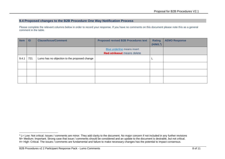## **9.4 Proposed changes to the B2B Procedure One Way Notification Process**

| <b>Item</b> | ID  | <b>Clause/Issue/Comment</b>                  | <b>Proposed revised B2B Procedures text</b> | <b>Rating</b>         | <b>AEMO Response</b> |
|-------------|-----|----------------------------------------------|---------------------------------------------|-----------------------|----------------------|
|             |     |                                              |                                             | (H/M/L <sup>4</sup> ) |                      |
|             |     |                                              | Blue underline means insert                 |                       |                      |
|             |     |                                              | <b>Red strikeout</b> means delete           |                       |                      |
| 9.4.1       | 721 | Lumo has no objection to the proposed change |                                             |                       |                      |
|             |     |                                              |                                             |                       |                      |
|             |     |                                              |                                             |                       |                      |
|             |     |                                              |                                             |                       |                      |

<sup>-</sup><sup>4</sup> L= Low: Not critical. Issues / comments are minor. They add clarity to the document. No major concern if not included in any further revisions M= Medium: Important. Strong case that issue / comments should be considered and an update to the document is desirable, but not critical. H= High: Critical. The issues / comments are fundamental and failure to make necessary changes has the potential to impact consensus.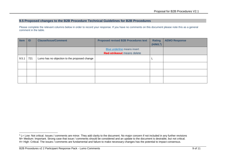#### **9.5 Proposed changes to the B2B Procedure Technical Guidelines for B2B Procedures**

| <b>Item</b> | ID  | <b>Clause/Issue/Comment</b>                  | <b>Proposed revised B2B Procedures text</b> | <b>Rating</b>         | <b>AEMO Response</b> |
|-------------|-----|----------------------------------------------|---------------------------------------------|-----------------------|----------------------|
|             |     |                                              |                                             | (H/M/L <sup>5</sup> ) |                      |
|             |     |                                              | Blue underline means insert                 |                       |                      |
|             |     |                                              | <b>Red strikeout</b> means delete           |                       |                      |
| 9.5.1       | 721 | Lumo has no objection to the proposed change |                                             |                       |                      |
|             |     |                                              |                                             |                       |                      |
|             |     |                                              |                                             |                       |                      |
|             |     |                                              |                                             |                       |                      |

<sup>-</sup> $5$  L= Low: Not critical. Issues / comments are minor. They add clarity to the document. No major concern if not included in any further revisions M= Medium: Important. Strong case that issue / comments should be considered and an update to the document is desirable, but not critical. H= High: Critical. The issues / comments are fundamental and failure to make necessary changes has the potential to impact consensus.